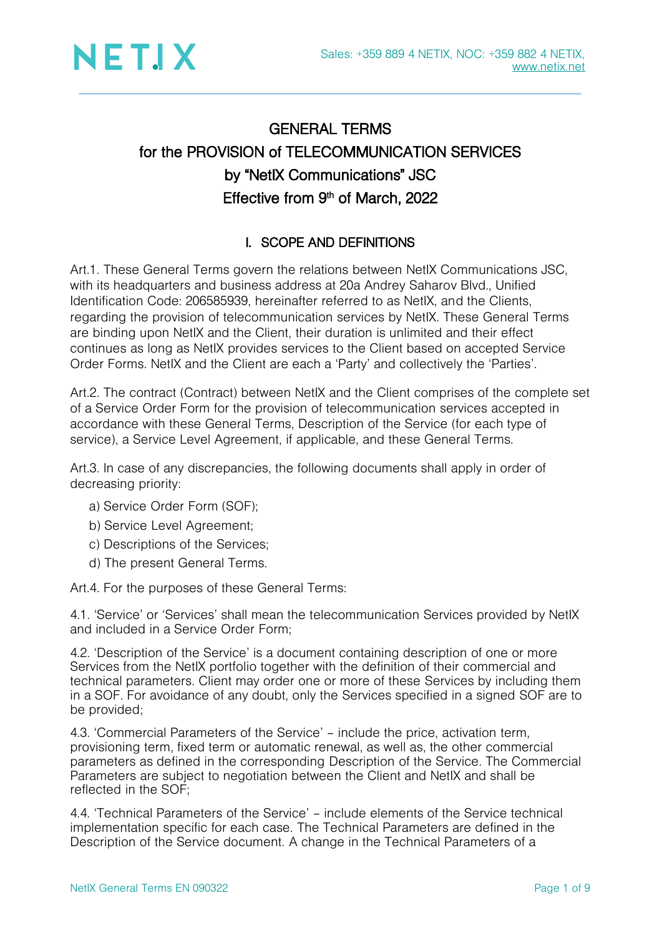

## GENERAL TERMS for the PROVISION of TELECOMMUNICATION SERVICES by "NetIX Communications" JSC Effective from 9<sup>th</sup> of March, 2022

### I. SCOPE AND DEFINITIONS

Art.1. These General Terms govern the relations between NetIX Communications JSC, with its headquarters and business address at 20a Andrey Saharov Blvd., Unified Identification Code: 206585939, hereinafter referred to as NetIX, and the Clients, regarding the provision of telecommunication services by NetIX. These General Terms are binding upon NetIX and the Client, their duration is unlimited and their effect continues as long as NetIX provides services to the Client based on accepted Service Order Forms. NetIX and the Client are each a 'Party' and collectively the 'Parties'.

Art.2. The contract (Contract) between NetIX and the Client comprises of the complete set of a Service Order Form for the provision of telecommunication services accepted in accordance with these General Terms, Description of the Service (for each type of service), a Service Level Agreement, if applicable, and these General Terms.

Art.3. In case of any discrepancies, the following documents shall apply in order of decreasing priority:

- a) Service Order Form (SOF);
- b) Service Level Agreement;
- c) Descriptions of the Services;
- d) The present General Terms.

Art.4. For the purposes of these General Terms:

4.1. 'Service' or 'Services' shall mean the telecommunication Services provided by NetIX and included in a Service Order Form;

4.2. 'Description of the Service' is a document containing description of one or more Services from the NetIX portfolio together with the definition of their commercial and technical parameters. Client may order one or more of these Services by including them in a SOF. For avoidance of any doubt, only the Services specified in a signed SOF are to be provided;

4.3. 'Commercial Parameters of the Service' – include the price, activation term, provisioning term, fixed term or automatic renewal, as well as, the other commercial parameters as defined in the corresponding Description of the Service. The Commercial Parameters are subject to negotiation between the Client and NetIX and shall be reflected in the SOF;

4.4. 'Technical Parameters of the Service' – include elements of the Service technical implementation specific for each case. The Technical Parameters are defined in the Description of the Service document. A change in the Technical Parameters of a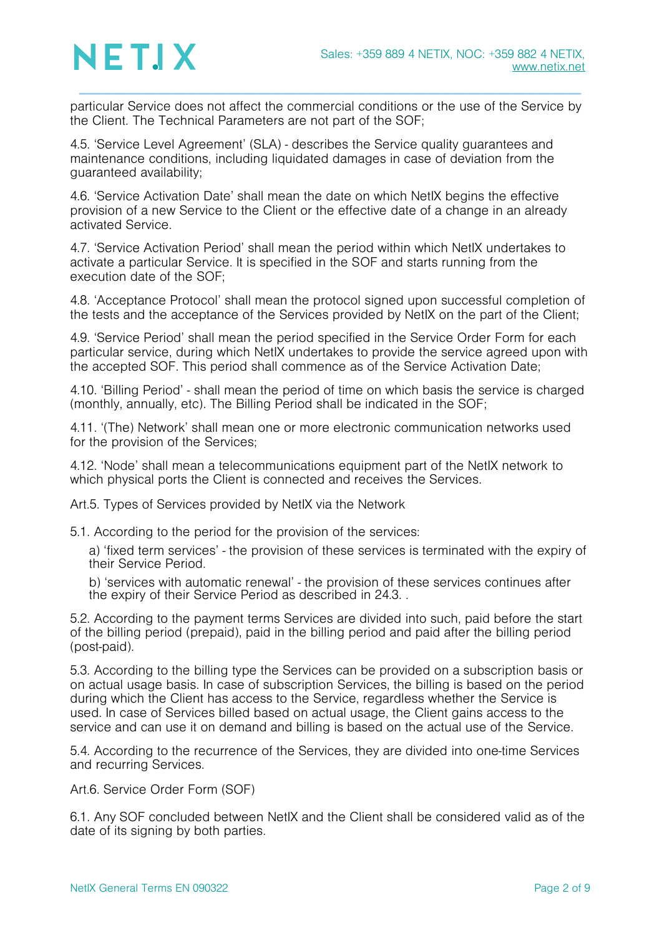particular Service does not affect the commercial conditions or the use of the Service by the Client. The Technical Parameters are not part of the SOF;

4.5. 'Service Level Agreement' (SLA) - describes the Service quality guarantees and maintenance conditions, including liquidated damages in case of deviation from the guaranteed availability;

4.6. 'Service Activation Date' shall mean the date on which NetIX begins the effective provision of a new Service to the Client or the effective date of a change in an already activated Service.

4.7. 'Service Activation Period' shall mean the period within which NetIX undertakes to activate a particular Service. It is specified in the SOF and starts running from the execution date of the SOF;

4.8. 'Acceptance Protocol' shall mean the protocol signed upon successful completion of the tests and the acceptance of the Services provided by NetIX on the part of the Client;

4.9. 'Service Period' shall mean the period specified in the Service Order Form for each particular service, during which NetIX undertakes to provide the service agreed upon with the accepted SOF. This period shall commence as of the Service Activation Date;

4.10. 'Billing Period' - shall mean the period of time on which basis the service is charged (monthly, annually, etc). The Billing Period shall be indicated in the SOF;

4.11. '(The) Network' shall mean one or more electronic communication networks used for the provision of the Services;

4.12. 'Node' shall mean a telecommunications equipment part of the NetIX network to which physical ports the Client is connected and receives the Services.

Art.5. Types of Services provided by NetIX via the Network

5.1. According to the period for the provision of the services:

a) 'fixed term services' - the provision of these services is terminated with the expiry of their Service Period.

b) 'services with automatic renewal' - the provision of these services continues after the expiry of their Service Period as described in [24.3. .](#page-6-0)

5.2. According to the payment terms Services are divided into such, paid before the start of the billing period (prepaid), paid in the billing period and paid after the billing period (post-paid).

5.3. According to the billing type the Services can be provided on a subscription basis or on actual usage basis. In case of subscription Services, the billing is based on the period during which the Client has access to the Service, regardless whether the Service is used. In case of Services billed based on actual usage, the Client gains access to the service and can use it on demand and billing is based on the actual use of the Service.

5.4. According to the recurrence of the Services, they are divided into one-time Services and recurring Services.

Art.6. Service Order Form (SOF)

6.1. Any SOF concluded between NetIX and the Client shall be considered valid as of the date of its signing by both parties.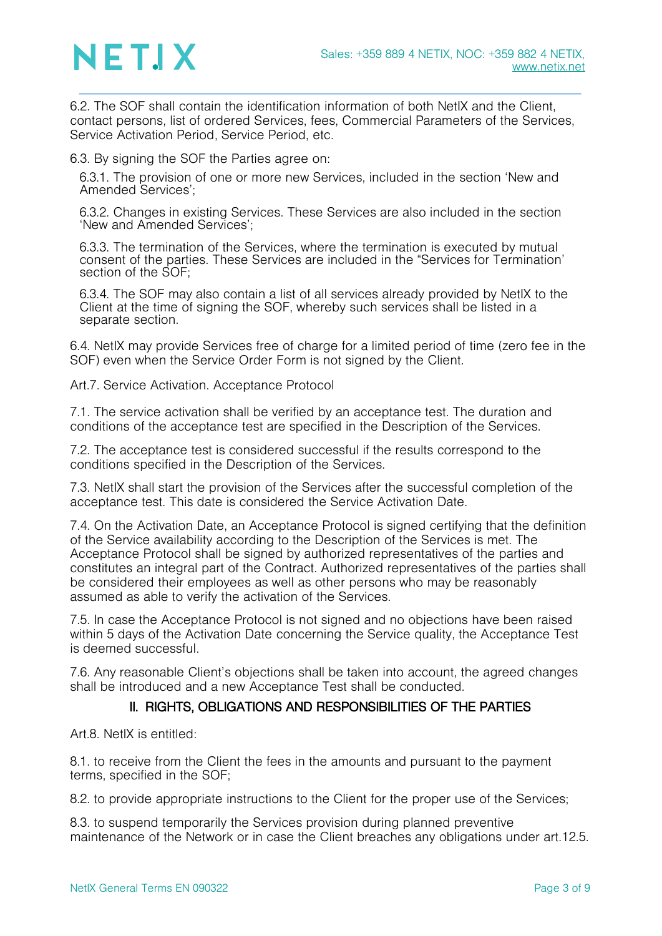

6.2. The SOF shall contain the identification information of both NetIX and the Client, contact persons, list of ordered Services, fees, Commercial Parameters of the Services, Service Activation Period, Service Period, etc.

6.3. By signing the SOF the Parties agree on:

6.3.1. The provision of one or more new Services, included in the section 'New and Amended Services';

6.3.2. Changes in existing Services. These Services are also included in the section 'New and Amended Services';

6.3.3. The termination of the Services, where the termination is executed by mutual consent of the parties. These Services are included in the "Services for Termination' section of the SOF;

6.3.4. The SOF may also contain a list of all services already provided by NetIX to the Client at the time of signing the SOF, whereby such services shall be listed in a separate section.

6.4. NetIX may provide Services free of charge for a limited period of time (zero fee in the SOF) even when the Service Order Form is not signed by the Client.

Art.7. Service Activation. Acceptance Protocol

7.1. The service activation shall be verified by an acceptance test. The duration and conditions of the acceptance test are specified in the Description of the Services.

7.2. The acceptance test is considered successful if the results correspond to the conditions specified in the Description of the Services.

7.3. NetIX shall start the provision of the Services after the successful completion of the acceptance test. This date is considered the Service Activation Date.

7.4. On the Activation Date, an Acceptance Protocol is signed certifying that the definition of the Service availability according to the Description of the Services is met. The Acceptance Protocol shall be signed by authorized representatives of the parties and constitutes an integral part of the Contract. Authorized representatives of the parties shall be considered their employees as well as other persons who may be reasonably assumed as able to verify the activation of the Services.

<span id="page-2-0"></span>7.5. In case the Acceptance Protocol is not signed and no objections have been raised within 5 days of the Activation Date concerning the Service quality, the Acceptance Test is deemed successful.

7.6. Any reasonable Client's objections shall be taken into account, the agreed changes shall be introduced and a new Acceptance Test shall be conducted.

#### II. RIGHTS, OBLIGATIONS AND RESPONSIBILITIES OF THE PARTIES

Art.8. NetIX is entitled:

8.1. to receive from the Client the fees in the amounts and pursuant to the payment terms, specified in the SOF;

8.2. to provide appropriate instructions to the Client for the proper use of the Services;

8.3. to suspend temporarily the Services provision during planned preventive maintenance of the Network or in case the Client breaches any obligations under art[.12.5.](#page-3-0)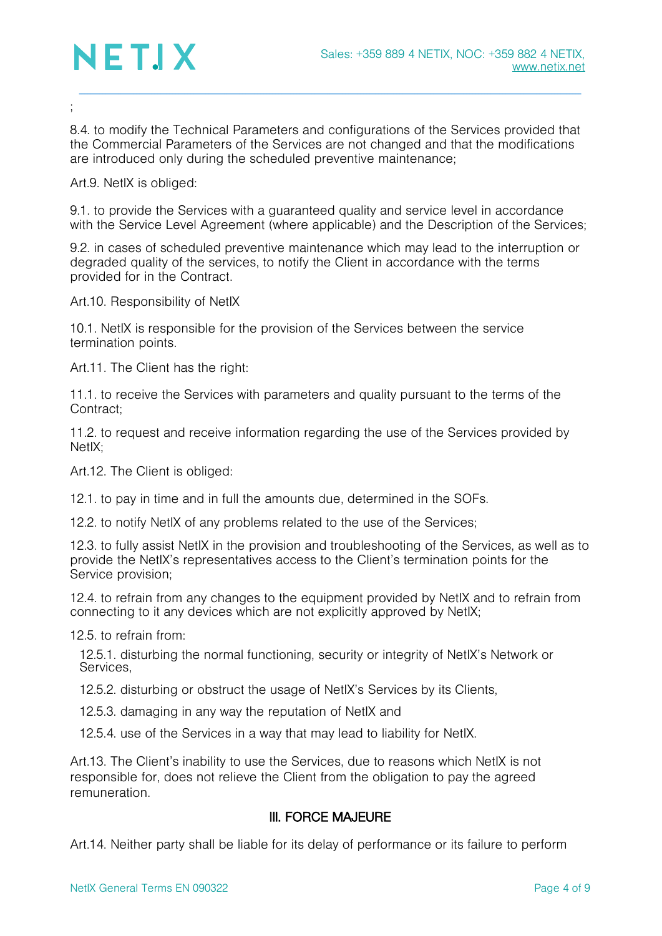

;

8.4. to modify the Technical Parameters and configurations of the Services provided that the Commercial Parameters of the Services are not changed and that the modifications are introduced only during the scheduled preventive maintenance;

Art.9. NetIX is obliged:

9.1. to provide the Services with a guaranteed quality and service level in accordance with the Service Level Agreement (where applicable) and the Description of the Services;

9.2. in cases of scheduled preventive maintenance which may lead to the interruption or degraded quality of the services, to notify the Client in accordance with the terms provided for in the Contract.

Art.10. Responsibility of NetIX

10.1. NetIX is responsible for the provision of the Services between the service termination points.

Art.11. The Client has the right:

11.1. to receive the Services with parameters and quality pursuant to the terms of the Contract;

11.2. to request and receive information regarding the use of the Services provided by NetIX<sup>.</sup>

Art.12. The Client is obliged:

12.1. to pay in time and in full the amounts due, determined in the SOFs.

12.2. to notify NetIX of any problems related to the use of the Services;

12.3. to fully assist NetIX in the provision and troubleshooting of the Services, as well as to provide the NetIX's representatives access to the Client's termination points for the Service provision;

12.4. to refrain from any changes to the equipment provided by NetIX and to refrain from connecting to it any devices which are not explicitly approved by NetIX;

<span id="page-3-0"></span>12.5. to refrain from:

12.5.1. disturbing the normal functioning, security or integrity of NetIX's Network or Services,

12.5.2. disturbing or obstruct the usage of NetIX's Services by its Clients,

12.5.3. damaging in any way the reputation of NetIX and

12.5.4. use of the Services in a way that may lead to liability for NetIX.

Art.13. The Client's inability to use the Services, due to reasons which NetIX is not responsible for, does not relieve the Client from the obligation to pay the agreed remuneration.

#### III. FORCE MAJEURE

Art.14. Neither party shall be liable for its delay of performance or its failure to perform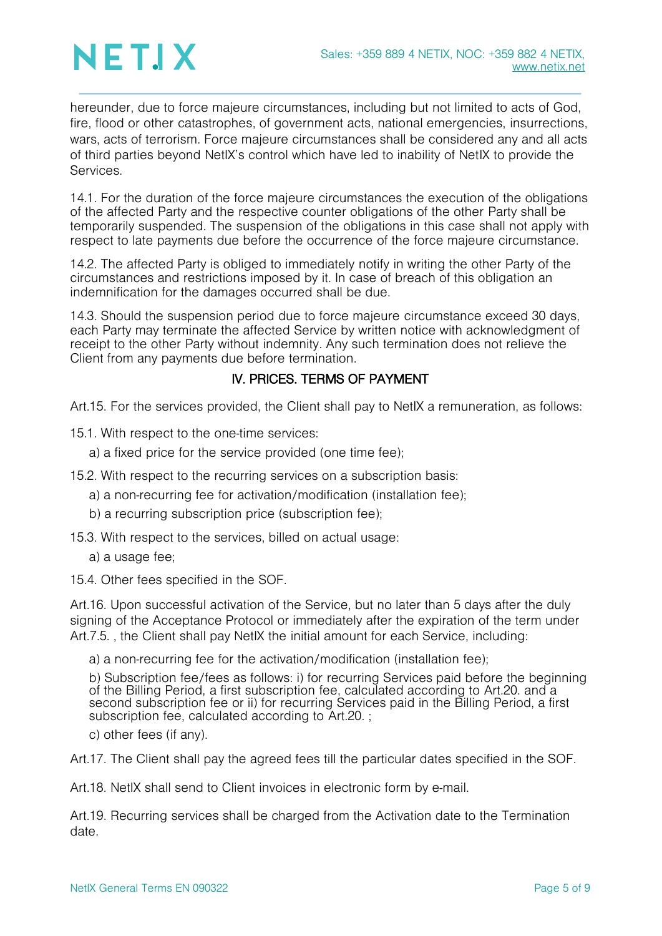

hereunder, due to force majeure circumstances, including but not limited to acts of God, fire, flood or other catastrophes, of government acts, national emergencies, insurrections, wars, acts of terrorism. Force majeure circumstances shall be considered any and all acts of third parties beyond NetIX's control which have led to inability of NetIX to provide the **Services** 

14.1. For the duration of the force majeure circumstances the execution of the obligations of the affected Party and the respective counter obligations of the other Party shall be temporarily suspended. The suspension of the obligations in this case shall not apply with respect to late payments due before the occurrence of the force majeure circumstance.

14.2. The affected Party is obliged to immediately notify in writing the other Party of the circumstances and restrictions imposed by it. In case of breach of this obligation an indemnification for the damages occurred shall be due.

14.3. Should the suspension period due to force majeure circumstance exceed 30 days, each Party may terminate the affected Service by written notice with acknowledgment of receipt to the other Party without indemnity. Any such termination does not relieve the Client from any payments due before termination.

### IV. PRICES. TERMS OF PAYMENT

Art.15. For the services provided, the Client shall pay to NetIX a remuneration, as follows:

15.1. With respect to the one-time services:

a) a fixed price for the service provided (one time fee);

15.2. With respect to the recurring services on a subscription basis:

a) a non-recurring fee for activation/modification (installation fee);

b) a recurring subscription price (subscription fee);

15.3. With respect to the services, billed on actual usage:

a) a usage fee;

15.4. Other fees specified in the SOF.

Art.16. Upon successful activation of the Service, but no later than 5 days after the duly signing of the Acceptance Protocol or immediately after the expiration of the term under Art.[7.5.](#page-2-0) , the Client shall pay NetIX the initial amount for each Service, including:

a) a non-recurring fee for the activation/modification (installation fee);

b) Subscription fee/fees as follows: i) for recurring Services paid before the beginning of the Billing Period, a first subscription fee, calculated according to [Art.20. a](#page-5-0)nd a second subscription fee or ii) for recurring Services paid in the Billing Period, a first subscription fee, calculated according to [Art.20.](#page-5-0) ;

c) other fees (if any).

Art.17. The Client shall pay the agreed fees till the particular dates specified in the SOF.

Art.18. NetIX shall send to Client invoices in electronic form by e-mail.

Art.19. Recurring services shall be charged from the Activation date to the Termination date.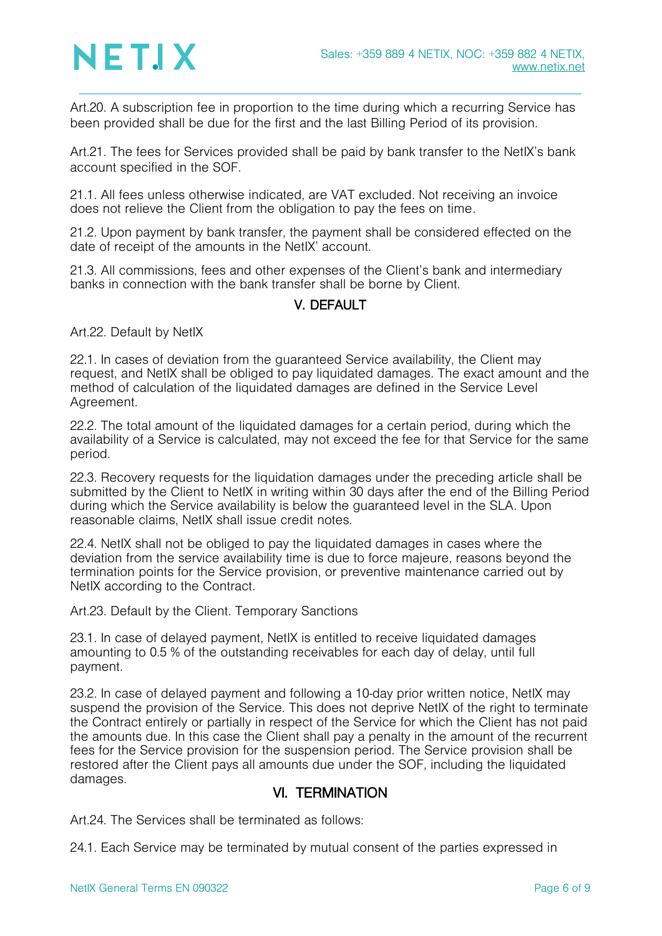<span id="page-5-0"></span>Art.20. A subscription fee in proportion to the time during which a recurring Service has been provided shall be due for the first and the last Billing Period of its provision.

Art.21. The fees for Services provided shall be paid by bank transfer to the NetIX's bank account specified in the SOF.

21.1. All fees unless otherwise indicated, are VAT excluded. Not receiving an invoice does not relieve the Client from the obligation to pay the fees on time.

21.2. Upon payment by bank transfer, the payment shall be considered effected on the date of receipt of the amounts in the NetIX' account.

21.3. All commissions, fees and other expenses of the Client's bank and intermediary banks in connection with the bank transfer shall be borne by Client.

### V. DEFAULT

Art.22. Default by NetIX

22.1. In cases of deviation from the guaranteed Service availability, the Client may request, and NetIX shall be obliged to pay liquidated damages. The exact amount and the method of calculation of the liquidated damages are defined in the Service Level Agreement.

22.2. The total amount of the liquidated damages for a certain period, during which the availability of a Service is calculated, may not exceed the fee for that Service for the same period.

22.3. Recovery requests for the liquidation damages under the preceding article shall be submitted by the Client to NetIX in writing within 30 days after the end of the Billing Period during which the Service availability is below the guaranteed level in the SLA. Upon reasonable claims, NetIX shall issue credit notes.

22.4. NetIX shall not be obliged to pay the liquidated damages in cases where the deviation from the service availability time is due to force majeure, reasons beyond the termination points for the Service provision, or preventive maintenance carried out by NetIX according to the Contract.

Art.23. Default by the Client. Temporary Sanctions

23.1. In case of delayed payment, NetIX is entitled to receive liquidated damages amounting to 0.5 % of the outstanding receivables for each day of delay, until full payment.

23.2. In case of delayed payment and following a 10-day prior written notice, NetIX may suspend the provision of the Service. This does not deprive NetIX of the right to terminate the Contract entirely or partially in respect of the Service for which the Client has not paid the amounts due. In this case the Client shall pay a penalty in the amount of the recurrent fees for the Service provision for the suspension period. The Service provision shall be restored after the Client pays all amounts due under the SOF, including the liquidated damages.

### VI. TERMINATION

Art.24. The Services shall be terminated as follows:

24.1. Each Service may be terminated by mutual consent of the parties expressed in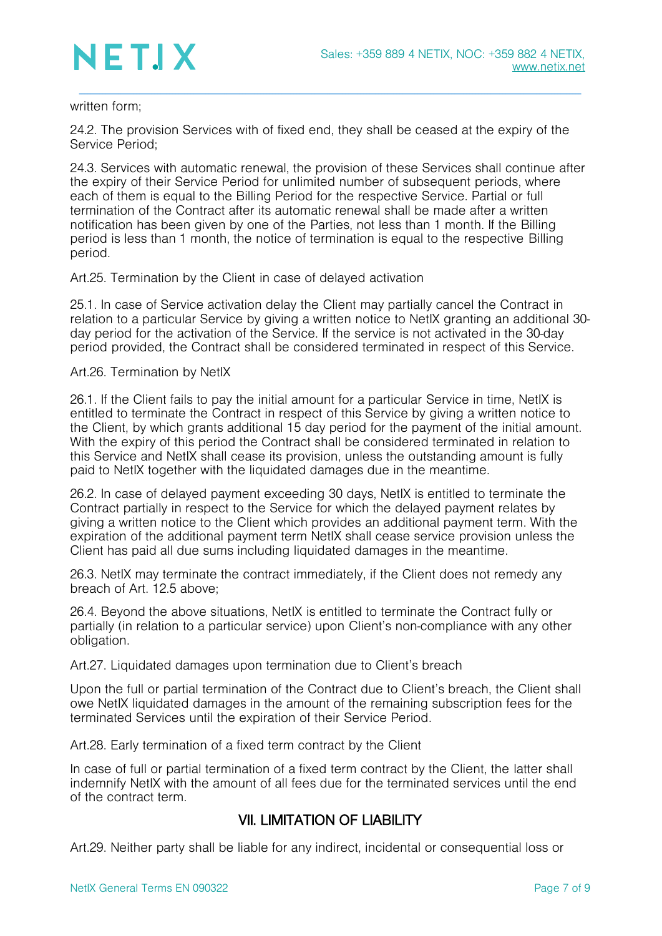# NETIX

#### written form;

24.2. The provision Services with of fixed end, they shall be ceased at the expiry of the Service Period;

<span id="page-6-0"></span>24.3. Services with automatic renewal, the provision of these Services shall continue after the expiry of their Service Period for unlimited number of subsequent periods, where each of them is equal to the Billing Period for the respective Service. Partial or full termination of the Contract after its automatic renewal shall be made after a written notification has been given by one of the Parties, not less than 1 month. If the Billing period is less than 1 month, the notice of termination is equal to the respective Billing period.

Art.25. Termination by the Client in case of delayed activation

25.1. In case of Service activation delay the Client may partially cancel the Contract in relation to a particular Service by giving a written notice to NetIX granting an additional 30 day period for the activation of the Service. If the service is not activated in the 30-day period provided, the Contract shall be considered terminated in respect of this Service.

Art.26. Termination by NetIX

26.1. If the Client fails to pay the initial amount for a particular Service in time, NetIX is entitled to terminate the Contract in respect of this Service by giving a written notice to the Client, by which grants additional 15 day period for the payment of the initial amount. With the expiry of this period the Contract shall be considered terminated in relation to this Service and NetIX shall cease its provision, unless the outstanding amount is fully paid to NetIX together with the liquidated damages due in the meantime.

26.2. In case of delayed payment exceeding 30 days, NetIX is entitled to terminate the Contract partially in respect to the Service for which the delayed payment relates by giving a written notice to the Client which provides an additional payment term. With the expiration of the additional payment term NetIX shall cease service provision unless the Client has paid all due sums including liquidated damages in the meantime.

26.3. NetIX may terminate the contract immediately, if the Client does not remedy any breach of Art. [12.5](#page-3-0) above;

26.4. Beyond the above situations, NetIX is entitled to terminate the Contract fully or partially (in relation to a particular service) upon Client's non-compliance with any other obligation.

Art.27. Liquidated damages upon termination due to Client's breach

Upon the full or partial termination of the Contract due to Client's breach, the Client shall owe NetIX liquidated damages in the amount of the remaining subscription fees for the terminated Services until the expiration of their Service Period.

Art.28. Early termination of a fixed term contract by the Client

In case of full or partial termination of a fixed term contract by the Client, the latter shall indemnify NetIX with the amount of all fees due for the terminated services until the end of the contract term.

### VII. LIMITATION OF LIABILITY

Art.29. Neither party shall be liable for any indirect, incidental or consequential loss or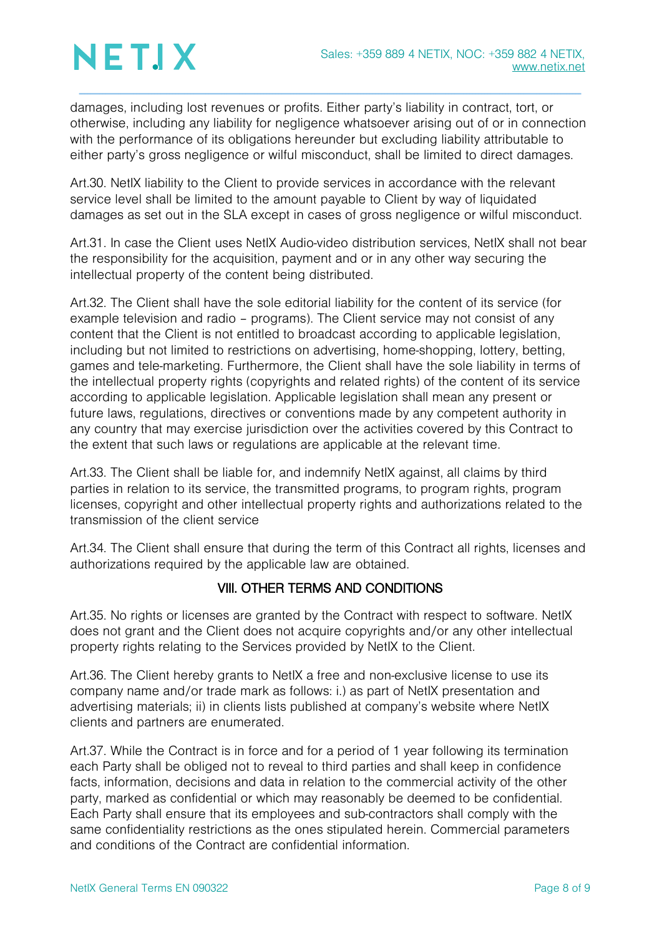# NETIX

damages, including lost revenues or profits. Either party's liability in contract, tort, or otherwise, including any liability for negligence whatsoever arising out of or in connection with the performance of its obligations hereunder but excluding liability attributable to either party's gross negligence or wilful misconduct, shall be limited to direct damages.

Art.30. NetIX liability to the Client to provide services in accordance with the relevant service level shall be limited to the amount payable to Client by way of liquidated damages as set out in the SLA except in cases of gross negligence or wilful misconduct.

Art.31. In case the Client uses NetIX Audio-video distribution services, NetIX shall not bear the responsibility for the acquisition, payment and or in any other way securing the intellectual property of the content being distributed.

Art.32. The Client shall have the sole editorial liability for the content of its service (for example television and radio – programs). The Client service may not consist of any content that the Client is not entitled to broadcast according to applicable legislation, including but not limited to restrictions on advertising, home-shopping, lottery, betting, games and tele-marketing. Furthermore, the Client shall have the sole liability in terms of the intellectual property rights (copyrights and related rights) of the content of its service according to applicable legislation. Applicable legislation shall mean any present or future laws, regulations, directives or conventions made by any competent authority in any country that may exercise jurisdiction over the activities covered by this Contract to the extent that such laws or regulations are applicable at the relevant time.

Art.33. The Client shall be liable for, and indemnify NetIX against, all claims by third parties in relation to its service, the transmitted programs, to program rights, program licenses, copyright and other intellectual property rights and authorizations related to the transmission of the client service

Art.34. The Client shall ensure that during the term of this Contract all rights, licenses and authorizations required by the applicable law are obtained.

### VIII. OTHER TERMS AND CONDITIONS

Art.35. No rights or licenses are granted by the Contract with respect to software. NetIX does not grant and the Client does not acquire copyrights and/or any other intellectual property rights relating to the Services provided by NetIX to the Client.

Art.36. The Client hereby grants to NetIX a free and non-exclusive license to use its company name and/or trade mark as follows: i.) as part of NetIX presentation and advertising materials; ii) in clients lists published at company's website where NetIX clients and partners are enumerated.

Art.37. While the Contract is in force and for a period of 1 year following its termination each Party shall be obliged not to reveal to third parties and shall keep in confidence facts, information, decisions and data in relation to the commercial activity of the other party, marked as confidential or which may reasonably be deemed to be confidential. Each Party shall ensure that its employees and sub-contractors shall comply with the same confidentiality restrictions as the ones stipulated herein. Commercial parameters and conditions of the Contract are confidential information.